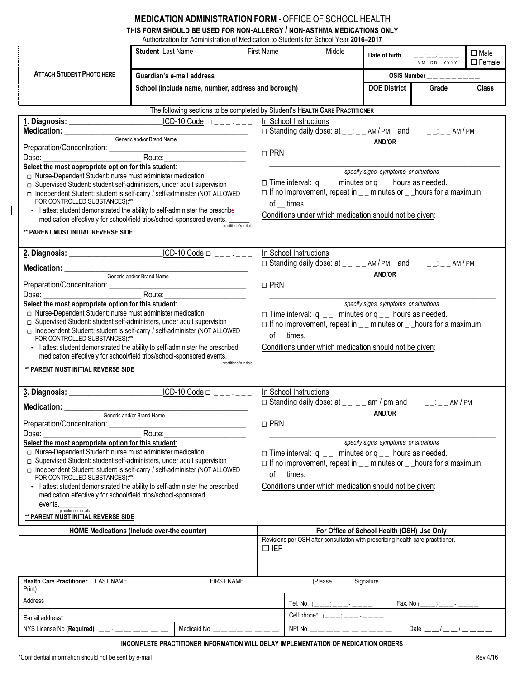## **MEDICATION ADMINISTRATION FORM** - OFFICE OF SCHOOL HEALTH

| THIS FORM SHOULD BE USED FOR NON-ALLERGY / NON-ASTHMA MEDICATIONS ONLY               |
|--------------------------------------------------------------------------------------|
| Authorization for Administration of Medication to Students for School Year 2016–2017 |

|                                                                                                                                                                                                                                                                                    |                                                                           |                                         |            | Authorization for Authinistration of Medication to Students for School Tear <b>zu ro-zu i</b> n |                                        |                                |                                                                                                                                               |                              |  |  |
|------------------------------------------------------------------------------------------------------------------------------------------------------------------------------------------------------------------------------------------------------------------------------------|---------------------------------------------------------------------------|-----------------------------------------|------------|-------------------------------------------------------------------------------------------------|----------------------------------------|--------------------------------|-----------------------------------------------------------------------------------------------------------------------------------------------|------------------------------|--|--|
|                                                                                                                                                                                                                                                                                    | <b>Student</b> Last Name                                                  |                                         | First Name | Middle                                                                                          | Date of birth                          |                                | $\begin{array}{c} ----\end{array}\begin{array}{c} ----\end{array}\begin{array}{c} ----\end{array}\begin{array}{c} ----\end{array}$ MM DD YYYY | $\Box$ Male<br>$\Box$ Female |  |  |
| <b>ATTACH STUDENT PHOTO HERE</b>                                                                                                                                                                                                                                                   | Guardian's e-mail address                                                 |                                         |            |                                                                                                 |                                        | OSIS Number __ _ _ _ _ _ _ _ _ |                                                                                                                                               |                              |  |  |
| School (include name, number, address and borough)                                                                                                                                                                                                                                 |                                                                           |                                         |            |                                                                                                 | <b>DOE District</b>                    |                                | Grade                                                                                                                                         | <b>Class</b>                 |  |  |
|                                                                                                                                                                                                                                                                                    |                                                                           |                                         |            |                                                                                                 |                                        |                                |                                                                                                                                               |                              |  |  |
|                                                                                                                                                                                                                                                                                    |                                                                           |                                         |            | The following sections to be completed by Student's HEALTH CARE PRACTITIONER                    |                                        |                                |                                                                                                                                               |                              |  |  |
|                                                                                                                                                                                                                                                                                    |                                                                           | $ICD-10 Code \Box$                      |            | In School Instructions                                                                          |                                        |                                |                                                                                                                                               |                              |  |  |
|                                                                                                                                                                                                                                                                                    |                                                                           |                                         |            | $\Box$ Standing daily dose: at _ _: _ _ AM/PM and _ _: _ _ AM/PM                                |                                        |                                |                                                                                                                                               |                              |  |  |
|                                                                                                                                                                                                                                                                                    | Generic and/or Brand Name                                                 |                                         |            |                                                                                                 | <b>AND/OR</b>                          |                                |                                                                                                                                               |                              |  |  |
| Preparation/Concentration: ___________<br>Route:<br>Dose: the contract of the contract of the contract of the contract of the contract of the contract of the contract of the contract of the contract of the contract of the contract of the contract of the contract of the cont |                                                                           |                                         |            | $\Box$ PRN                                                                                      |                                        |                                |                                                                                                                                               |                              |  |  |
| Select the most appropriate option for this student:                                                                                                                                                                                                                               |                                                                           |                                         |            |                                                                                                 |                                        |                                |                                                                                                                                               |                              |  |  |
| □ Nurse-Dependent Student: nurse must administer medication                                                                                                                                                                                                                        |                                                                           |                                         |            |                                                                                                 | specify signs, symptoms, or situations |                                |                                                                                                                                               |                              |  |  |
| □ Supervised Student: student self-administers, under adult supervision                                                                                                                                                                                                            |                                                                           |                                         |            | $\Box$ Time interval: q _ minutes or q _ hours as needed.                                       |                                        |                                |                                                                                                                                               |                              |  |  |
| Independent Student: student is self-carry / self-administer (NOT ALLOWED<br>FOR CONTROLLED SUBSTANCES):**                                                                                                                                                                         |                                                                           |                                         |            | $\Box$ If no improvement, repeat in $\Box$ minutes or $\Box$ hours for a maximum                |                                        |                                |                                                                                                                                               |                              |  |  |
| · I attest student demonstrated the ability to self-administer the prescribe                                                                                                                                                                                                       |                                                                           |                                         |            | of $\_\$ times.                                                                                 |                                        |                                |                                                                                                                                               |                              |  |  |
| medication effectively for school/field trips/school-sponsored events.                                                                                                                                                                                                             |                                                                           |                                         |            | Conditions under which medication should not be given:                                          |                                        |                                |                                                                                                                                               |                              |  |  |
| ** PARENT MUST INITIAL REVERSE SIDE                                                                                                                                                                                                                                                |                                                                           | practitioner's initials                 |            |                                                                                                 |                                        |                                |                                                                                                                                               |                              |  |  |
|                                                                                                                                                                                                                                                                                    |                                                                           |                                         |            |                                                                                                 |                                        |                                |                                                                                                                                               |                              |  |  |
|                                                                                                                                                                                                                                                                                    |                                                                           | $\overline{ICD-10 \text{ Code}}$ $\Box$ |            | In School Instructions                                                                          |                                        |                                |                                                                                                                                               |                              |  |  |
|                                                                                                                                                                                                                                                                                    |                                                                           |                                         |            | $\Box$ Standing daily dose: at _ _: _ _ AM/PM and _ _: _ _ AM/PM                                |                                        |                                |                                                                                                                                               |                              |  |  |
| Medication: Website and Security and Security and Security and Security and Security and Security and Security and Security and Security and Security and Security and Security and Security and Security and Security and Sec                                                     | Generic and/or Brand Name                                                 |                                         |            |                                                                                                 | AND/OR                                 |                                |                                                                                                                                               |                              |  |  |
|                                                                                                                                                                                                                                                                                    |                                                                           |                                         | $\Box$ PRN |                                                                                                 |                                        |                                |                                                                                                                                               |                              |  |  |
|                                                                                                                                                                                                                                                                                    |                                                                           |                                         |            |                                                                                                 |                                        |                                |                                                                                                                                               |                              |  |  |
| Select the most appropriate option for this student:                                                                                                                                                                                                                               |                                                                           |                                         |            |                                                                                                 | specify signs, symptoms, or situations |                                |                                                                                                                                               |                              |  |  |
| □ Nurse-Dependent Student: nurse must administer medication                                                                                                                                                                                                                        |                                                                           |                                         |            | $\Box$ Time interval: q _ minutes or q _ hours as needed.                                       |                                        |                                |                                                                                                                                               |                              |  |  |
| □ Supervised Student: student self-administers, under adult supervision                                                                                                                                                                                                            |                                                                           |                                         |            | $\Box$ If no improvement, repeat in $\Box$ minutes or $\Box$ hours for a maximum                |                                        |                                |                                                                                                                                               |                              |  |  |
| FOR CONTROLLED SUBSTANCES):**                                                                                                                                                                                                                                                      | Independent Student: student is self-carry / self-administer (NOT ALLOWED |                                         |            | of times.                                                                                       |                                        |                                |                                                                                                                                               |                              |  |  |
| · I attest student demonstrated the ability to self-administer the prescribed                                                                                                                                                                                                      |                                                                           |                                         |            | Conditions under which medication should not be given:                                          |                                        |                                |                                                                                                                                               |                              |  |  |
| medication effectively for school/field trips/school-sponsored events.<br>practitioner's initials                                                                                                                                                                                  |                                                                           |                                         |            |                                                                                                 |                                        |                                |                                                                                                                                               |                              |  |  |
| ** PARENT MUST INITIAL REVERSE SIDE                                                                                                                                                                                                                                                |                                                                           |                                         |            |                                                                                                 |                                        |                                |                                                                                                                                               |                              |  |  |
|                                                                                                                                                                                                                                                                                    |                                                                           |                                         |            |                                                                                                 |                                        |                                |                                                                                                                                               |                              |  |  |
|                                                                                                                                                                                                                                                                                    |                                                                           | $ICD-10 Code \square$                   |            | In School Instructions                                                                          |                                        |                                |                                                                                                                                               |                              |  |  |
|                                                                                                                                                                                                                                                                                    |                                                                           |                                         |            | $\Box$ Standing daily dose: at _ _: _ _ am / pm and                                             |                                        |                                | $   -$ AM $/$ PM                                                                                                                              |                              |  |  |
| Medication: __________________Generic and/or Brand Name                                                                                                                                                                                                                            |                                                                           |                                         |            |                                                                                                 | <b>AND/OR</b>                          |                                |                                                                                                                                               |                              |  |  |
| Preparation/Concentration:                                                                                                                                                                                                                                                         |                                                                           |                                         |            | $\Box$ PRN                                                                                      |                                        |                                |                                                                                                                                               |                              |  |  |
| Dose:<br>Route:<br>Select the most appropriate option for this student:<br>specify signs, symptoms, or situations                                                                                                                                                                  |                                                                           |                                         |            |                                                                                                 |                                        |                                |                                                                                                                                               |                              |  |  |
| □ Nurse-Dependent Student: nurse must administer medication                                                                                                                                                                                                                        |                                                                           |                                         |            | $\Box$ Time interval: q _ minutes or q _ hours as needed.                                       |                                        |                                |                                                                                                                                               |                              |  |  |
| □ Supervised Student: student self-administers, under adult supervision                                                                                                                                                                                                            |                                                                           |                                         |            | $\Box$ If no improvement, repeat in $\Box$ minutes or $\Box$ hours for a maximum                |                                        |                                |                                                                                                                                               |                              |  |  |
| Independent Student: student is self-carry / self-administer (NOT ALLOWED                                                                                                                                                                                                          |                                                                           |                                         |            | of __ times.                                                                                    |                                        |                                |                                                                                                                                               |                              |  |  |
| FOR CONTROLLED SUBSTANCES):**<br>· I attest student demonstrated the ability to self-administer the prescribed                                                                                                                                                                     |                                                                           |                                         |            | Conditions under which medication should not be given:                                          |                                        |                                |                                                                                                                                               |                              |  |  |
| medication effectively for school/field trips/school-sponsored                                                                                                                                                                                                                     |                                                                           |                                         |            |                                                                                                 |                                        |                                |                                                                                                                                               |                              |  |  |
| events.                                                                                                                                                                                                                                                                            |                                                                           |                                         |            |                                                                                                 |                                        |                                |                                                                                                                                               |                              |  |  |
| practitioner's initials<br>** PARENT MUST INITIAL REVERSE SIDE                                                                                                                                                                                                                     |                                                                           |                                         |            |                                                                                                 |                                        |                                |                                                                                                                                               |                              |  |  |
|                                                                                                                                                                                                                                                                                    | HOME Medications (include over-the counter)                               |                                         |            | For Office of School Health (OSH) Use Only                                                      |                                        |                                |                                                                                                                                               |                              |  |  |
|                                                                                                                                                                                                                                                                                    |                                                                           |                                         |            | Revisions per OSH after consultation with prescribing health care practitioner.                 |                                        |                                |                                                                                                                                               |                              |  |  |
|                                                                                                                                                                                                                                                                                    |                                                                           |                                         |            | $\Box$ IEP                                                                                      |                                        |                                |                                                                                                                                               |                              |  |  |
|                                                                                                                                                                                                                                                                                    |                                                                           |                                         |            |                                                                                                 |                                        |                                |                                                                                                                                               |                              |  |  |
|                                                                                                                                                                                                                                                                                    |                                                                           |                                         |            |                                                                                                 |                                        |                                |                                                                                                                                               |                              |  |  |
| Health Care Practitioner LAST NAME                                                                                                                                                                                                                                                 |                                                                           | <b>FIRST NAME</b>                       |            | (Please                                                                                         | Signature                              |                                |                                                                                                                                               |                              |  |  |
| Print)                                                                                                                                                                                                                                                                             |                                                                           |                                         |            |                                                                                                 |                                        |                                |                                                                                                                                               |                              |  |  |
| Address                                                                                                                                                                                                                                                                            |                                                                           |                                         |            | Tel. No. $($ <sub>--</sub> $)$ <sub>--</sub> <sup>-</sup> $-$                                   |                                        |                                | $\mathsf{Fax}.\mathsf{No}$ ( ) -                                                                                                              |                              |  |  |
|                                                                                                                                                                                                                                                                                    |                                                                           |                                         |            |                                                                                                 |                                        |                                |                                                                                                                                               |                              |  |  |
| E-mail address*                                                                                                                                                                                                                                                                    |                                                                           |                                         |            |                                                                                                 |                                        |                                |                                                                                                                                               |                              |  |  |

**INCOMPLETE PRACTITIONER INFORMATION WILL DELAY IMPLEMENTATION OF MEDICATION ORDERS**

 $\overline{\phantom{a}}$